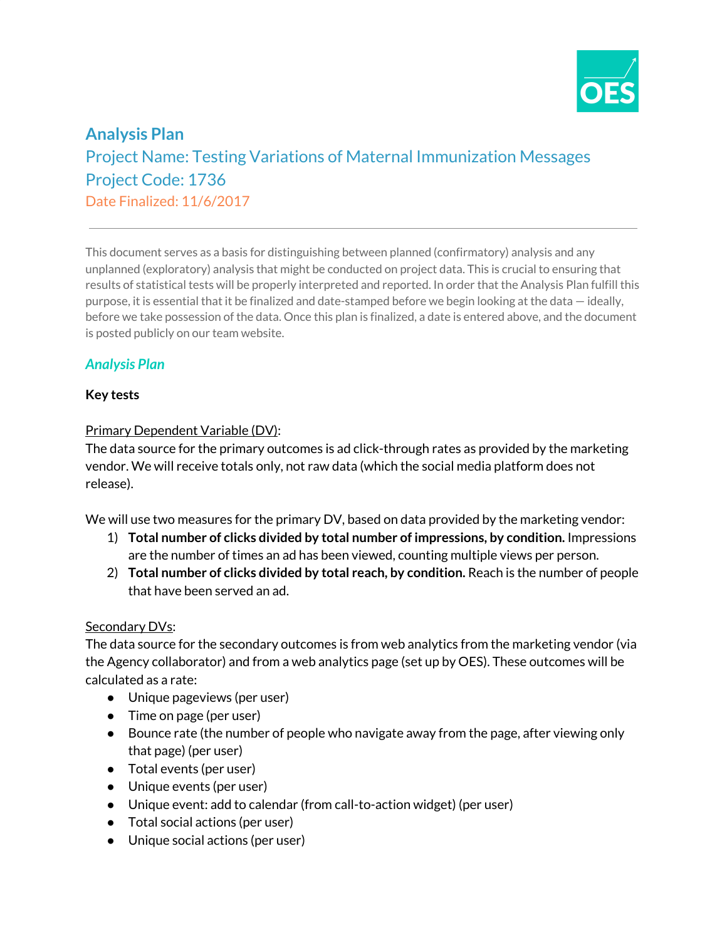

# **Analysis Plan** Project Name: Testing Variations of Maternal Immunization Messages Project Code: 1736 Date Finalized: 11/6/2017

This document serves as a basis for distinguishing between planned (confirmatory) analysis and any unplanned (exploratory) analysis that might be conducted on project data. This is crucial to ensuring that results of statistical tests will be properly interpreted and reported. In order that the Analysis Plan fulfill this purpose, it is essential that it be finalized and date-stamped before we begin looking at the data — ideally, before we take possession of the data. Once this plan is finalized, a date is entered above, and the document is posted publicly on our team website.

## *Analysis Plan*

### **Key tests**

#### Primary Dependent Variable (DV):

The data source for the primary outcomes is ad click-through rates as provided by the marketing vendor. We will receive totals only, not raw data (which the social media platform does not release).

We will use two measures for the primary DV, based on data provided by the marketing vendor:

- 1) **Total number of clicks divided by total number of impressions, by condition.** Impressions are the number of times an ad has been viewed, counting multiple views per person.
- 2) **Total number of clicks divided by total reach, by condition.** Reach is the number of people that have been served an ad.

### Secondary DVs:

The data source for the secondary outcomes is from web analytics from the marketing vendor (via the Agency collaborator) and from a web analytics page (set up by OES). These outcomes will be calculated as a rate:

- Unique pageviews (per user)
- Time on page (per user)
- Bounce rate (the number of people who navigate away from the page, after viewing only that page) (per user)
- Total events (per user)
- Unique events (per user)
- Unique event: add to calendar (from call-to-action widget) (per user)
- Total social actions (per user)
- Unique social actions (per user)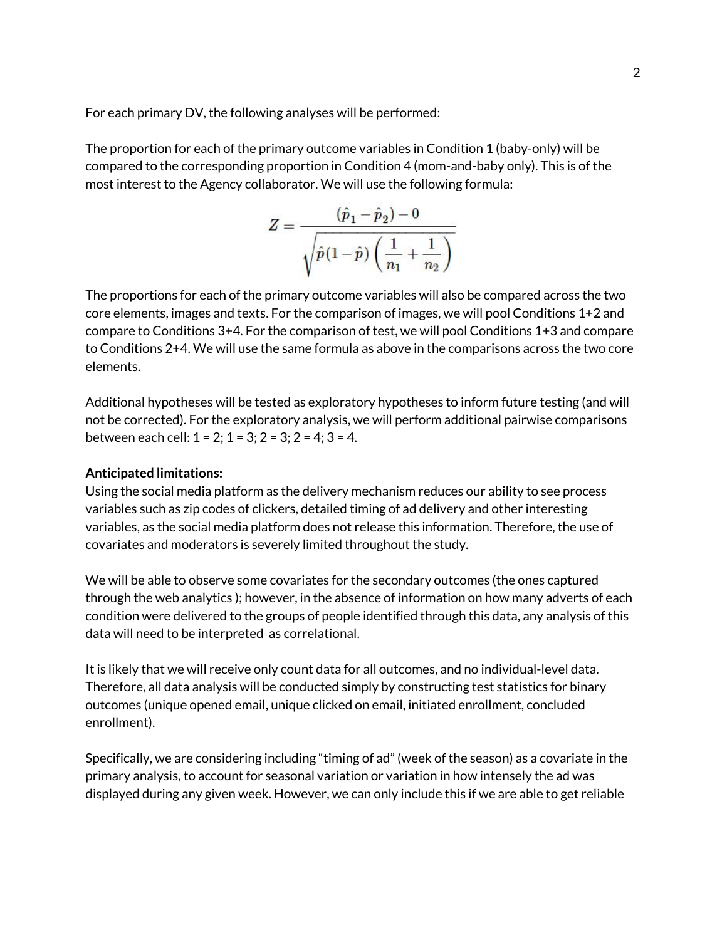For each primary DV, the following analyses will be performed:

The proportion for each of the primary outcome variables in Condition 1 (baby-only) will be compared to the corresponding proportion in Condition 4 (mom-and-baby only). This is of the most interest to the Agency collaborator. We will use the following formula:

$$
Z=\frac{(\hat{p}_1-\hat{p}_2)-0}{\sqrt{\hat{p}(1-\hat{p})\left(\frac{1}{n_1}+\frac{1}{n_2}\right)}}
$$

The proportions for each of the primary outcome variables will also be compared across the two core elements, images and texts. For the comparison of images, we will pool Conditions 1+2 and compare to Conditions 3+4. For the comparison of test, we will pool Conditions 1+3 and compare to Conditions 2+4. We will use the same formula as above in the comparisons across the two core elements.

Additional hypotheses will be tested as exploratory hypotheses to inform future testing (and will not be corrected). For the exploratory analysis, we will perform additional pairwise comparisons between each cell:  $1 = 2$ ;  $1 = 3$ ;  $2 = 3$ ;  $2 = 4$ ;  $3 = 4$ .

#### **Anticipated limitations:**

Using the social media platform as the delivery mechanism reduces our ability to see process variables such as zip codes of clickers, detailed timing of ad delivery and other interesting variables, as the social media platform does not release this information. Therefore, the use of covariates and moderators is severely limited throughout the study.

We will be able to observe some covariates for the secondary outcomes (the ones captured through the web analytics ); however, in the absence of information on how many adverts of each condition were delivered to the groups of people identified through this data, any analysis of this data will need to be interpreted as correlational.

It is likely that we will receive only count data for all outcomes, and no individual-level data. Therefore, all data analysis will be conducted simply by constructing test statistics for binary outcomes (unique opened email, unique clicked on email, initiated enrollment, concluded enrollment).

Specifically, we are considering including "timing of ad" (week of the season) as a covariate in the primary analysis, to account for seasonal variation or variation in how intensely the ad was displayed during any given week. However, we can only include this if we are able to get reliable